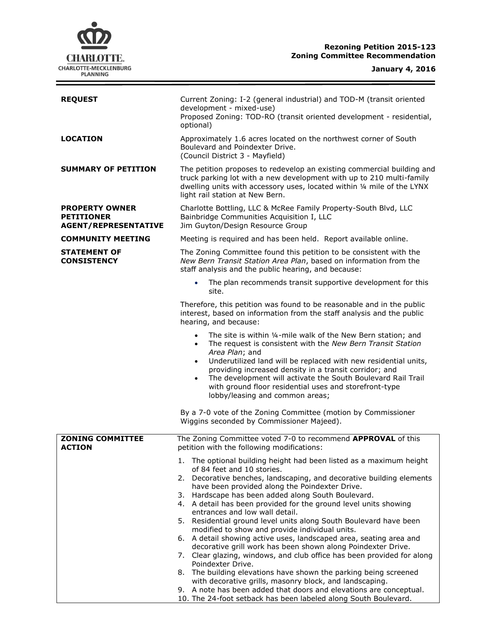# **CHARLOTTE.** CHARLOTTE-MECKLENBURG<br>PLANNING

| <b>REQUEST</b>                                                            | Current Zoning: I-2 (general industrial) and TOD-M (transit oriented<br>development - mixed-use)<br>Proposed Zoning: TOD-RO (transit oriented development - residential,<br>optional)                                                                                                                                                                                                                                                                                                        |  |  |
|---------------------------------------------------------------------------|----------------------------------------------------------------------------------------------------------------------------------------------------------------------------------------------------------------------------------------------------------------------------------------------------------------------------------------------------------------------------------------------------------------------------------------------------------------------------------------------|--|--|
| <b>LOCATION</b>                                                           | Approximately 1.6 acres located on the northwest corner of South<br>Boulevard and Poindexter Drive.<br>(Council District 3 - Mayfield)                                                                                                                                                                                                                                                                                                                                                       |  |  |
| <b>SUMMARY OF PETITION</b>                                                | The petition proposes to redevelop an existing commercial building and<br>truck parking lot with a new development with up to 210 multi-family<br>dwelling units with accessory uses, located within 1/4 mile of the LYNX<br>light rail station at New Bern.                                                                                                                                                                                                                                 |  |  |
| <b>PROPERTY OWNER</b><br><b>PETITIONER</b><br><b>AGENT/REPRESENTATIVE</b> | Charlotte Bottling, LLC & McRee Family Property-South Blvd, LLC<br>Bainbridge Communities Acquisition I, LLC<br>Jim Guyton/Design Resource Group                                                                                                                                                                                                                                                                                                                                             |  |  |
| <b>COMMUNITY MEETING</b>                                                  | Meeting is required and has been held. Report available online.                                                                                                                                                                                                                                                                                                                                                                                                                              |  |  |
| <b>STATEMENT OF</b><br><b>CONSISTENCY</b>                                 | The Zoning Committee found this petition to be consistent with the<br>New Bern Transit Station Area Plan, based on information from the<br>staff analysis and the public hearing, and because:                                                                                                                                                                                                                                                                                               |  |  |
|                                                                           | The plan recommends transit supportive development for this<br>$\bullet$<br>site.                                                                                                                                                                                                                                                                                                                                                                                                            |  |  |
|                                                                           | Therefore, this petition was found to be reasonable and in the public<br>interest, based on information from the staff analysis and the public<br>hearing, and because:                                                                                                                                                                                                                                                                                                                      |  |  |
|                                                                           | The site is within 1/4-mile walk of the New Bern station; and<br>$\bullet$<br>The request is consistent with the New Bern Transit Station<br>$\bullet$<br>Area Plan; and<br>Underutilized land will be replaced with new residential units,<br>$\bullet$<br>providing increased density in a transit corridor; and<br>The development will activate the South Boulevard Rail Trail<br>$\bullet$<br>with ground floor residential uses and storefront-type<br>lobby/leasing and common areas; |  |  |
|                                                                           | By a 7-0 vote of the Zoning Committee (motion by Commissioner<br>Wiggins seconded by Commissioner Majeed).                                                                                                                                                                                                                                                                                                                                                                                   |  |  |
| <b>ZONING COMMITTEE</b><br><b>ACTION</b>                                  | The Zoning Committee voted 7-0 to recommend APPROVAL of this<br>petition with the following modifications:                                                                                                                                                                                                                                                                                                                                                                                   |  |  |
|                                                                           | 1. The optional building height had been listed as a maximum height                                                                                                                                                                                                                                                                                                                                                                                                                          |  |  |
|                                                                           | of 84 feet and 10 stories.<br>2. Decorative benches, landscaping, and decorative building elements                                                                                                                                                                                                                                                                                                                                                                                           |  |  |
|                                                                           | have been provided along the Poindexter Drive.<br>3. Hardscape has been added along South Boulevard.<br>4. A detail has been provided for the ground level units showing<br>entrances and low wall detail.                                                                                                                                                                                                                                                                                   |  |  |
|                                                                           | 5. Residential ground level units along South Boulevard have been<br>modified to show and provide individual units.<br>6. A detail showing active uses, landscaped area, seating area and                                                                                                                                                                                                                                                                                                    |  |  |
|                                                                           | decorative grill work has been shown along Poindexter Drive.<br>7. Clear glazing, windows, and club office has been provided for along                                                                                                                                                                                                                                                                                                                                                       |  |  |
|                                                                           | Poindexter Drive.<br>8. The building elevations have shown the parking being screened<br>with decorative grills, masonry block, and landscaping.                                                                                                                                                                                                                                                                                                                                             |  |  |

9. A note has been added that doors and elevations are conceptual. 10. The 24-foot setback has been labeled along South Boulevard.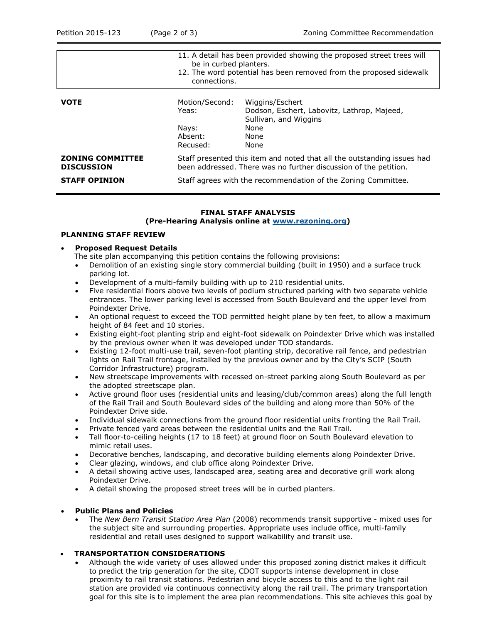|                                              | 11. A detail has been provided showing the proposed street trees will<br>be in curbed planters.<br>12. The word potential has been removed from the proposed sidewalk<br>connections. |                                                                                                                 |  |
|----------------------------------------------|---------------------------------------------------------------------------------------------------------------------------------------------------------------------------------------|-----------------------------------------------------------------------------------------------------------------|--|
| <b>VOTE</b>                                  | Motion/Second:<br>Yeas:<br>Nays:<br>Absent:<br>Recused:                                                                                                                               | Wiggins/Eschert<br>Dodson, Eschert, Labovitz, Lathrop, Majeed,<br>Sullivan, and Wiggins<br>None<br>None<br>None |  |
| <b>ZONING COMMITTEE</b><br><b>DISCUSSION</b> | Staff presented this item and noted that all the outstanding issues had<br>been addressed. There was no further discussion of the petition.                                           |                                                                                                                 |  |
| <b>STAFF OPINION</b>                         | Staff agrees with the recommendation of the Zoning Committee.                                                                                                                         |                                                                                                                 |  |

### **FINAL STAFF ANALYSIS**

#### **(Pre-Hearing Analysis online at [www.rezoning.org\)](http://www.rezoning.org/)**

#### **PLANNING STAFF REVIEW**

#### **Proposed Request Details**

- The site plan accompanying this petition contains the following provisions:
- Demolition of an existing single story commercial building (built in 1950) and a surface truck parking lot.
- Development of a multi-family building with up to 210 residential units.
- Five residential floors above two levels of podium structured parking with two separate vehicle entrances. The lower parking level is accessed from South Boulevard and the upper level from Poindexter Drive.
- An optional request to exceed the TOD permitted height plane by ten feet, to allow a maximum height of 84 feet and 10 stories.
- Existing eight-foot planting strip and eight-foot sidewalk on Poindexter Drive which was installed by the previous owner when it was developed under TOD standards.
- Existing 12-foot multi-use trail, seven-foot planting strip, decorative rail fence, and pedestrian lights on Rail Trail frontage, installed by the previous owner and by the City's SCIP (South Corridor Infrastructure) program.
- New streetscape improvements with recessed on-street parking along South Boulevard as per the adopted streetscape plan.
- Active ground floor uses (residential units and leasing/club/common areas) along the full length of the Rail Trail and South Boulevard sides of the building and along more than 50% of the Poindexter Drive side.
- Individual sidewalk connections from the ground floor residential units fronting the Rail Trail.
- Private fenced yard areas between the residential units and the Rail Trail.
- Tall floor-to-ceiling heights (17 to 18 feet) at ground floor on South Boulevard elevation to mimic retail uses.
- Decorative benches, landscaping, and decorative building elements along Poindexter Drive.
- Clear glazing, windows, and club office along Poindexter Drive.
- A detail showing active uses, landscaped area, seating area and decorative grill work along Poindexter Drive.
- A detail showing the proposed street trees will be in curbed planters.

## **Public Plans and Policies**

 The *New Bern Transit Station Area Plan* (2008) recommends transit supportive - mixed uses for the subject site and surrounding properties. Appropriate uses include office, multi-family residential and retail uses designed to support walkability and transit use.

## **TRANSPORTATION CONSIDERATIONS**

 Although the wide variety of uses allowed under this proposed zoning district makes it difficult to predict the trip generation for the site, CDOT supports intense development in close proximity to rail transit stations. Pedestrian and bicycle access to this and to the light rail station are provided via continuous connectivity along the rail trail. The primary transportation goal for this site is to implement the area plan recommendations. This site achieves this goal by